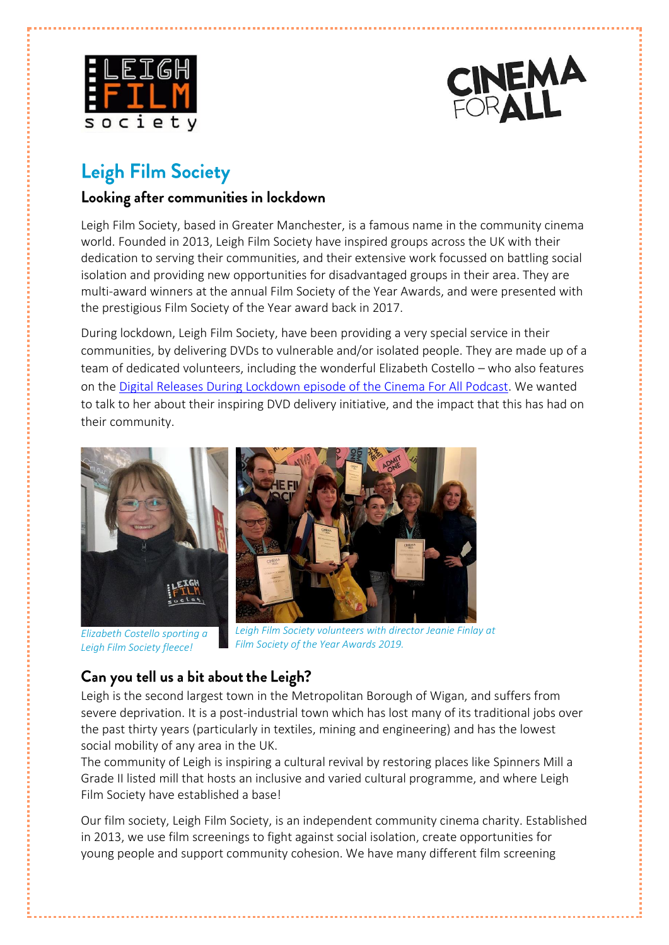



# **Leigh Film Society**

### Looking after communities in lockdown

Leigh Film Society, based in Greater Manchester, is a famous name in the community cinema world. Founded in 2013, Leigh Film Society have inspired groups across the UK with their dedication to serving their communities, and their extensive work focussed on battling social isolation and providing new opportunities for disadvantaged groups in their area. They are multi-award winners at the annual Film Society of the Year Awards, and were presented with the prestigious Film Society of the Year award back in 2017.

During lockdown, Leigh Film Society, have been providing a very special service in their communities, by delivering DVDs to vulnerable and/or isolated people. They are made up of a team of dedicated volunteers, including the wonderful Elizabeth Costello – who also features on the Digital Releases During Lockdown [episode of the Cinema For All Podcast.](https://cinemaforall.org.uk/advice-and-support/resources/cinema-for-all-podcast/series-3/digital-releases/) We wanted to talk to her about their inspiring DVD delivery initiative, and the impact that this has had on their community.



*Elizabeth Costello sporting a Leigh Film Society fleece!*

*Leigh Film Society volunteers with director Jeanie Finlay at Film Society of the Year Awards 2019.*

# Can you tell us a bit about the Leigh?

Leigh is the second largest town in the Metropolitan Borough of Wigan, and suffers from severe deprivation. It is a post-industrial town which has lost many of its traditional jobs over the past thirty years (particularly in textiles, mining and engineering) and has the lowest social mobility of any area in the UK.

The community of Leigh is inspiring a cultural revival by restoring places like Spinners Mill a Grade II listed mill that hosts an inclusive and varied cultural programme, and where Leigh Film Society have established a base!

Our film society, Leigh Film Society, is an independent community cinema charity. Established in 2013, we use film screenings to fight against social isolation, create opportunities for young people and support community cohesion. We have many different film screening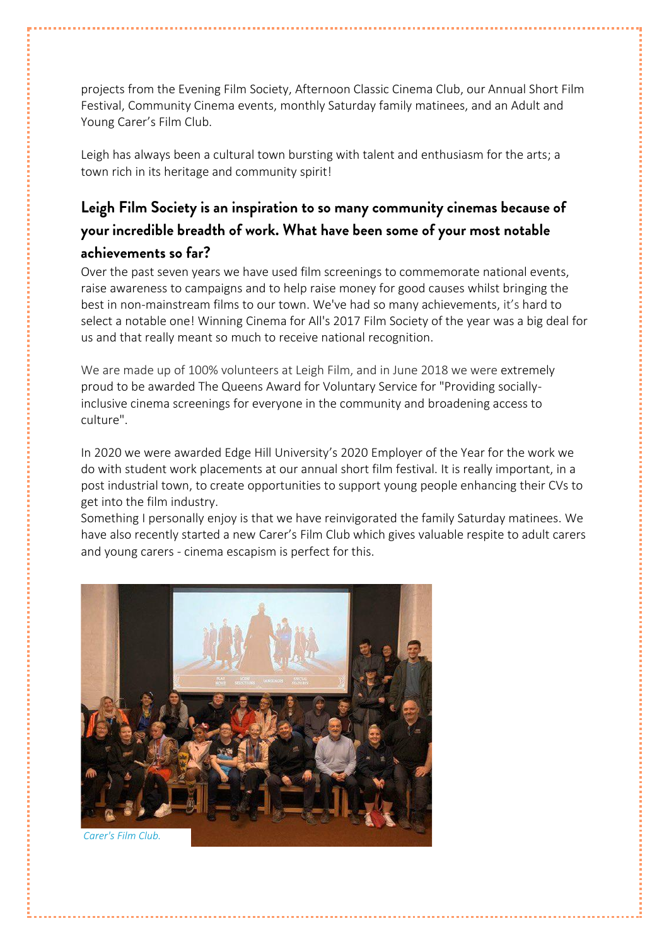projects from the Evening Film Society, Afternoon Classic Cinema Club, our Annual Short Film Festival, Community Cinema events, monthly Saturday family matinees, and an Adult and Young Carer's Film Club.

Leigh has always been a cultural town bursting with talent and enthusiasm for the arts; a town rich in its heritage and community spirit!

# Leigh Film Society is an inspiration to so many community cinemas because of your incredible breadth of work. What have been some of your most notable achievements so far?

Over the past seven years we have used film screenings to commemorate national events, raise awareness to campaigns and to help raise money for good causes whilst bringing the best in non-mainstream films to our town. We've had so many achievements, it's hard to select a notable one! Winning Cinema for All's 2017 Film Society of the year was a big deal for us and that really meant so much to receive national recognition.

We are made up of 100% volunteers at Leigh Film, and in June 2018 we were extremely proud to be awarded The Queens Award for Voluntary Service for "Providing sociallyinclusive cinema screenings for everyone in the community and broadening access to culture".

In 2020 we were awarded Edge Hill University's 2020 Employer of the Year for the work we do with student work placements at our annual short film festival. It is really important, in a post industrial town, to create opportunities to support young people enhancing their CVs to get into the film industry.

Something I personally enjoy is that we have reinvigorated the family Saturday matinees. We have also recently started a new Carer's Film Club which gives valuable respite to adult carers and young carers - cinema escapism is perfect for this.



*Carer's Film Club.*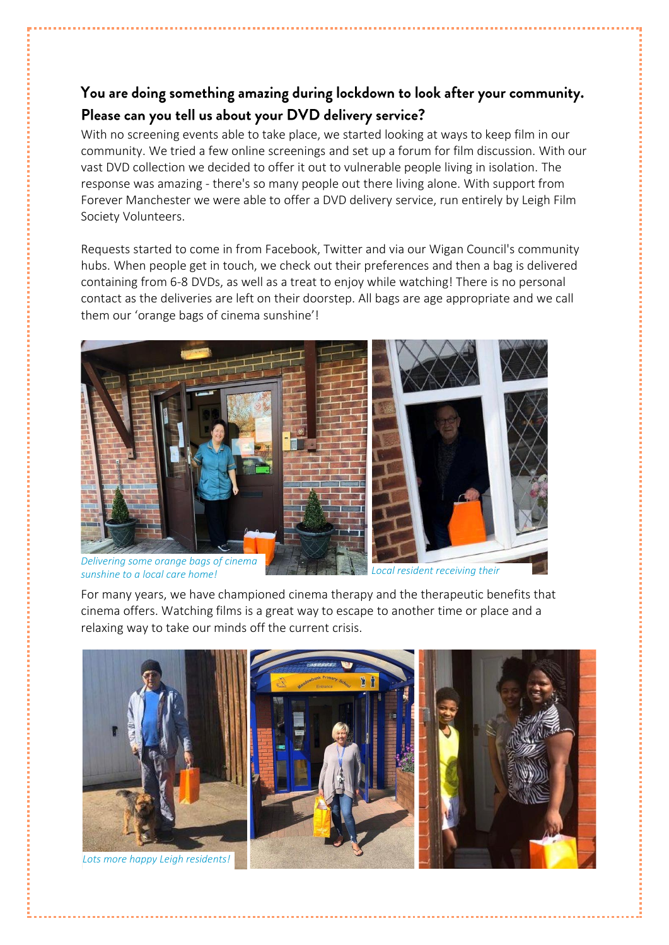### You are doing something amazing during lockdown to look after your community. Please can you tell us about your DVD delivery service?

With no screening events able to take place, we started looking at ways to keep film in our community. We tried a few online screenings and set up a forum for film discussion. With our vast DVD collection we decided to offer it out to vulnerable people living in isolation. The response was amazing - there's so many people out there living alone. With support from Forever Manchester we were able to offer a DVD delivery service, run entirely by Leigh Film Society Volunteers.

Requests started to come in from Facebook, Twitter and via our Wigan Council's community hubs. When people get in touch, we check out their preferences and then a bag is delivered containing from 6-8 DVDs, as well as a treat to enjoy while watching! There is no personal contact as the deliveries are left on their doorstep. All bags are age appropriate and we call them our 'orange bags of cinema sunshine'!



*Delivering some orange bags of cinema sunshine to a local care home! Local resident receiving their* 

For many years, we have championed cinema therapy and the therapeutic benefits that cinema offers. Watching films is a great way to escape to another time or place and a relaxing way to take our minds off the current crisis. *delivery.*

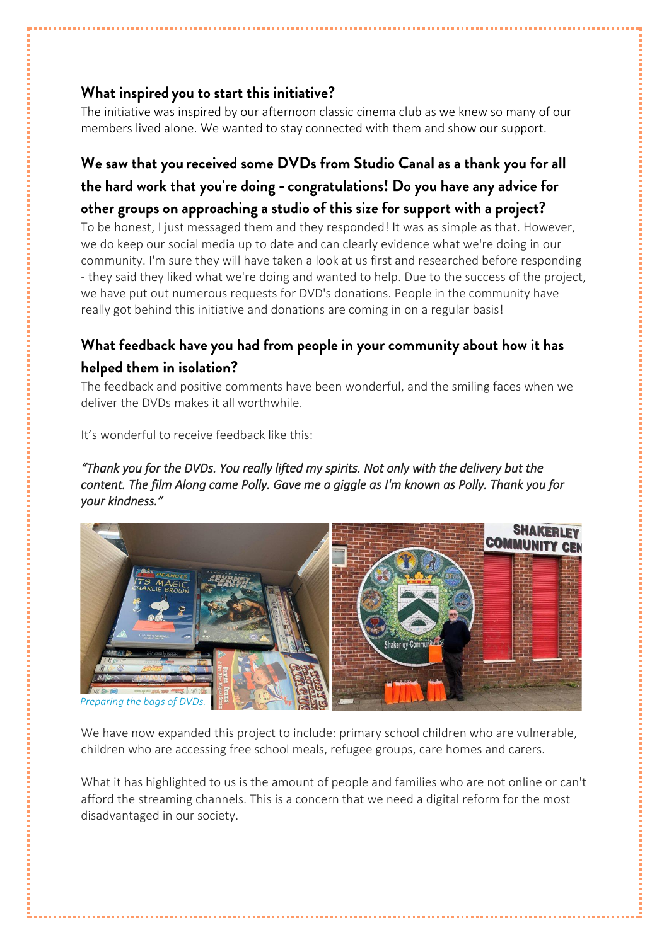#### What inspired you to start this initiative?

The initiative was inspired by our afternoon classic cinema club as we knew so many of our members lived alone. We wanted to stay connected with them and show our support.

# We saw that you received some DVDs from Studio Canal as a thank you for all the hard work that you're doing - congratulations! Do you have any advice for other groups on approaching a studio of this size for support with a project?

To be honest, I just messaged them and they responded! It was as simple as that. However, we do keep our social media up to date and can clearly evidence what we're doing in our community. I'm sure they will have taken a look at us first and researched before responding - they said they liked what we're doing and wanted to help. Due to the success of the project, we have put out numerous requests for DVD's donations. People in the community have really got behind this initiative and donations are coming in on a regular basis!

### What feedback have you had from people in your community about how it has helped them in isolation?

The feedback and positive comments have been wonderful, and the smiling faces when we deliver the DVDs makes it all worthwhile.

It's wonderful to receive feedback like this:

#### *"Thank you for the DVDs. You really lifted my spirits. Not only with the delivery but the content. The film Along came Polly. Gave me a giggle as I'm known as Polly. Thank you for your kindness."*



We have now expanded this project to include: primary school children who are vulnerable. children who are accessing free school meals, refugee groups, care homes and carers.

What it has highlighted to us is the amount of people and families who are not online or can't afford the streaming channels. This is a concern that we need a digital reform for the most disadvantaged in our society.